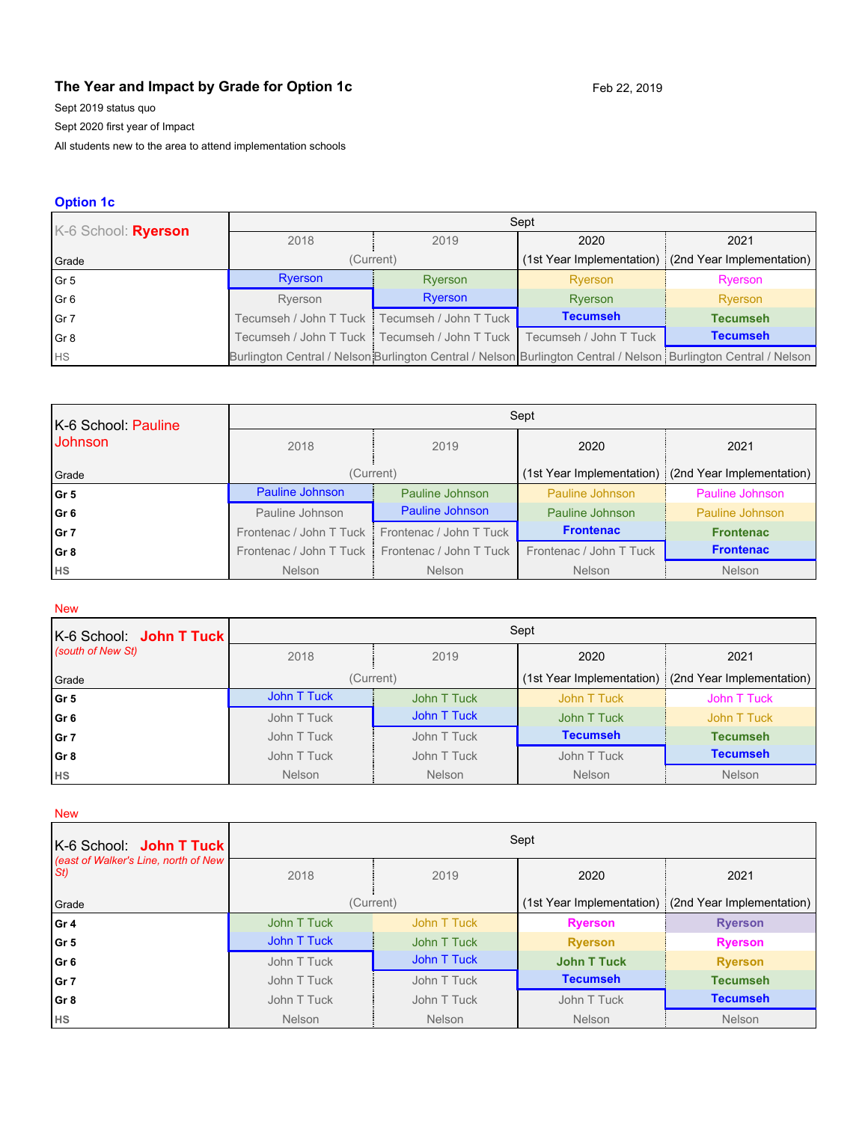# **The Year and Impact by Grade for Option 1c** Feb 22, 2019

Sept 2019 status quo

Sept 2020 first year of Impact

All students new to the area to attend implementation schools

## **Option 1c**

| K-6 School: Ryerson | Sept    |                                                 |                        |                                                                                                                 |  |
|---------------------|---------|-------------------------------------------------|------------------------|-----------------------------------------------------------------------------------------------------------------|--|
|                     | 2018    | 2019                                            | 2020                   | 2021                                                                                                            |  |
| Grade               |         | (Current)                                       |                        | (1st Year Implementation) (2nd Year Implementation)                                                             |  |
| $\sqrt{G}$ r 5      | Ryerson | Ryerson                                         | Ryerson                | Ryerson                                                                                                         |  |
| Gr6                 | Ryerson | Ryerson                                         | Ryerson                | Ryerson                                                                                                         |  |
| $\sqrt{G}r$ 7       |         | Tecumseh / John T Tuck   Tecumseh / John T Tuck | <b>Tecumseh</b>        | <b>Tecumseh</b>                                                                                                 |  |
| $\sqrt{Gr}$         |         | Tecumseh / John T Tuck   Tecumseh / John T Tuck | Tecumseh / John T Tuck | <b>Tecumseh</b>                                                                                                 |  |
| HS                  |         |                                                 |                        | Burlington Central / Nelson Burlington Central / Nelson Burlington Central / Nelson Burlington Central / Nelson |  |

| K-6 School: Pauline | Sept                      |                         |                         |                                                       |  |
|---------------------|---------------------------|-------------------------|-------------------------|-------------------------------------------------------|--|
| <b>Johnson</b>      | 2018                      | 2019                    | 2020                    | 2021                                                  |  |
| Grade               |                           | (Current)               |                         | (1st Year Implementation)   (2nd Year Implementation) |  |
| Gr 5                | Pauline Johnson           | Pauline Johnson         | Pauline Johnson         | Pauline Johnson                                       |  |
| Gr 6                | Pauline Johnson           | Pauline Johnson         | Pauline Johnson         | Pauline Johnson                                       |  |
| Gr 7                | Frontenac / John T Tuck   | Frontenac / John T Tuck | <b>Frontenac</b>        | <b>Frontenac</b>                                      |  |
| Gr 8                | Frontenac / John T Tuck i | Frontenac / John T Tuck | Frontenac / John T Tuck | <b>Frontenac</b>                                      |  |
| <b>HS</b>           | <b>Nelson</b>             | Nelson                  | <b>Nelson</b>           | <b>Nelson</b>                                         |  |

### New

| K-6 School: <b>John T Tuck</b> | Sept          |               |                 |                                                     |  |
|--------------------------------|---------------|---------------|-----------------|-----------------------------------------------------|--|
| (south of New St)              | 2018          | 2019          | 2020            | 2021                                                |  |
| Grade                          |               | (Current)     |                 | (1st Year Implementation) (2nd Year Implementation) |  |
| Gr <sub>5</sub>                | John T Tuck   | John T Tuck   | John T Tuck     | John T Tuck                                         |  |
| Gr <sub>6</sub>                | John T Tuck   | John T Tuck   | John T Tuck     | John T Tuck                                         |  |
| Gr <sub>7</sub>                | John T Tuck   | John T Tuck   | <b>Tecumseh</b> | <b>Tecumseh</b>                                     |  |
| Gr <sub>8</sub>                | John T Tuck   | John T Tuck   | John T Tuck     | <b>Tecumseh</b>                                     |  |
| <b>HS</b>                      | <b>Nelson</b> | <b>Nelson</b> | <b>Nelson</b>   | <b>Nelson</b>                                       |  |

New

| K-6 School: John T Tuck                     | Sept        |             |                    |                                                     |  |
|---------------------------------------------|-------------|-------------|--------------------|-----------------------------------------------------|--|
| (east of Walker's Line, north of New<br>St) | 2018        | 2019        | 2020               | 2021                                                |  |
| Grade                                       | (Current)   |             |                    | (1st Year Implementation) (2nd Year Implementation) |  |
| l Gr 4                                      | John T Tuck | John T Tuck | <b>Ryerson</b>     | <b>Ryerson</b>                                      |  |
| Gr 5                                        | John T Tuck | John T Tuck | <b>Ryerson</b>     | <b>Ryerson</b>                                      |  |
| Gr 6                                        | John T Tuck | John T Tuck | <b>John T Tuck</b> | <b>Ryerson</b>                                      |  |
| Gr 7                                        | John T Tuck | John T Tuck | <b>Tecumseh</b>    | <b>Tecumseh</b>                                     |  |
| Gr 8                                        | John T Tuck | John T Tuck | John T Tuck        | <b>Tecumseh</b>                                     |  |
| <b>HS</b>                                   | Nelson      | Nelson      | <b>Nelson</b>      | <b>Nelson</b>                                       |  |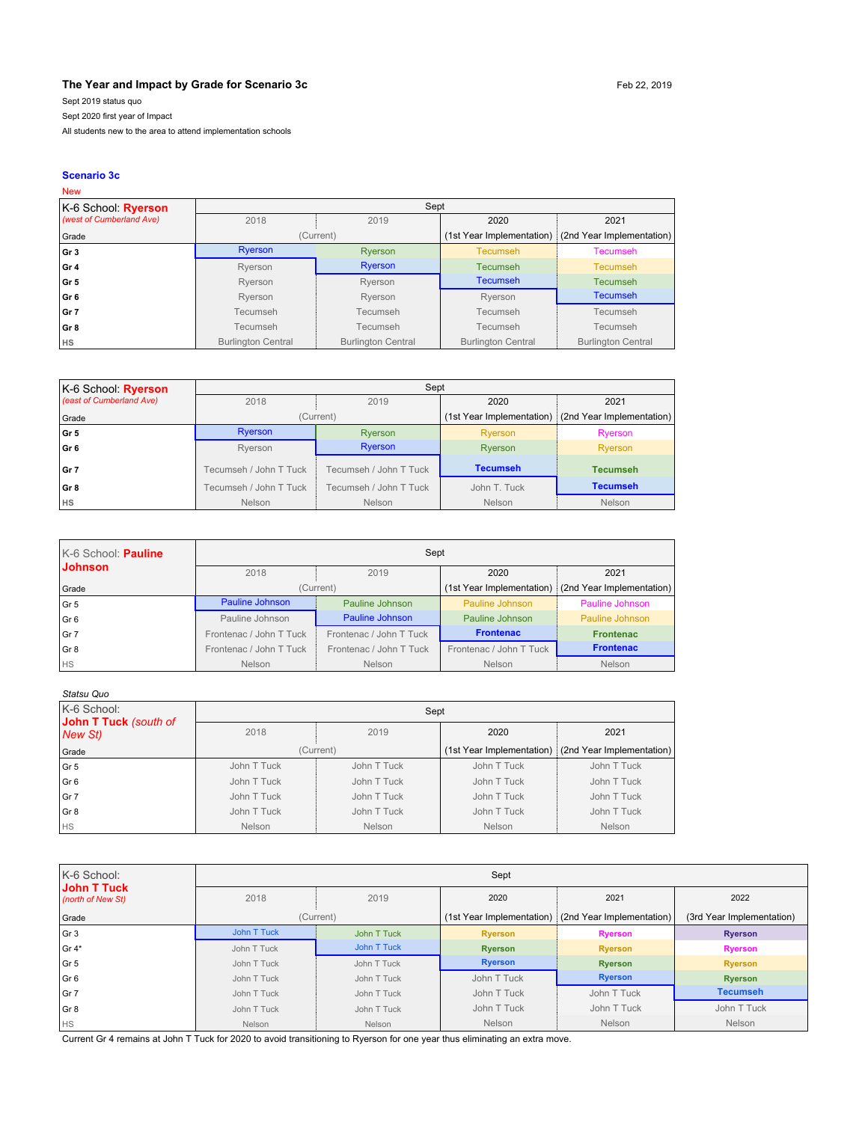### **The Year and Impact by Grade for Scenario 3c** Feb 22, 2019

Sept 2019 status quo

Sept 2020 first year of Impact

All students new to the area to attend implementation schools

#### **Scenario 3c**

#### New K-6 School: **Ryerson**  *(west of Cumberland Ave)* Sept 2018 2019 2020 2021 Grade **Grade** (Current) (Current) (1st Year Implementation) (2nd Year Implementation) **Gr 3** Ryerson Ryerson Ryerson Recumseh Tecumseh Tecumseh **Gr 4** Ryerson **Rights Ryerson Ryerson Ryerson** Recumseh Tecumseh **Gr 5** Ryerson Ryerson Ryerson **Tecumseh Tecumseh** Tecumseh **Gr 6 Case Contract Contract Contract Ryerson** Ryerson Ryerson Ryerson Ryerson Ryerson Ryerson Ryerson Ryerson **Gr 7** Tecumseh | Tecumseh | Tecumseh | Tecumseh | Tecumseh **Gr 8** Tecumseh Tecumseh Tecumseh Tecumseh Tecumseh Tecumseh **HS** Burlington Central Burlington Central Burlington Central Burlington Central Burlington Central Burlington Central

| K-6 School: Ryerson      |                        |                        |                 |                                                       |
|--------------------------|------------------------|------------------------|-----------------|-------------------------------------------------------|
| (east of Cumberland Ave) | 2018                   | 2019                   | 2020            | 2021                                                  |
| Grade                    |                        | (Current)              |                 | (1st Year Implementation) : (2nd Year Implementation) |
| l Gr 5                   | <b>Ryerson</b>         | Ryerson                | Ryerson         | Ryerson                                               |
| l Gr 6                   | Rverson                | Ryerson                | Ryerson         | Ryerson                                               |
| l Gr 7                   | Tecumseh / John T Tuck | Tecumseh / John T Tuck | <b>Tecumseh</b> | <b>Tecumseh</b>                                       |
| Gr 8                     | Tecumseh / John T Tuck | Tecumseh / John T Tuck | John T. Tuck    | <b>Tecumseh</b>                                       |
| <b>HS</b>                | Nelson                 | <b>Nelson</b>          | <b>Nelson</b>   | Nelson                                                |

| K-6 School: Pauline | Sept                    |                         |                         |                                                       |
|---------------------|-------------------------|-------------------------|-------------------------|-------------------------------------------------------|
| <b>Johnson</b>      | 2018                    | 2019                    | 2020                    | 2021                                                  |
| Grade               |                         | (Current)               |                         | (1st Year Implementation) : (2nd Year Implementation) |
| l Gr 5              | Pauline Johnson         | Pauline Johnson         | Pauline Johnson         | Pauline Johnson                                       |
| Gr <sub>6</sub>     | Pauline Johnson         | Pauline Johnson         | Pauline Johnson         | Pauline Johnson                                       |
| l Gr 7              | Frontenac / John T Tuck | Frontenac / John T Tuck | <b>Frontenac</b>        | <b>Frontenac</b>                                      |
| Gr 8                | Frontenac / John T Tuck | Frontenac / John T Tuck | Frontenac / John T Tuck | <b>Frontenac</b>                                      |
| <b>HS</b>           | <b>Nelson</b>           | <b>Nelson</b>           | <b>Nelson</b>           | Nelson                                                |

| Statsu Quo                       |             |               |                           |                           |  |
|----------------------------------|-------------|---------------|---------------------------|---------------------------|--|
| K-6 School:                      | Sept        |               |                           |                           |  |
| John T Tuck (south of<br>New St) | 2018        | 2019          | 2020                      | 2021                      |  |
| Grade                            |             | (Current)     | (1st Year Implementation) | (2nd Year Implementation) |  |
| Gr 5                             | John T Tuck | John T Tuck   | John T Tuck               | John T Tuck               |  |
| Gr 6                             | John T Tuck | John T Tuck   | John T Tuck               | John T Tuck               |  |
| Gr 7                             | John T Tuck | John T Tuck   | John T Tuck               | John T Tuck               |  |
| Gr <sub>8</sub>                  | John T Tuck | John T Tuck   | John T Tuck               | John T Tuck               |  |
| <b>HS</b>                        | Nelson      | <b>Nelson</b> | <b>Nelson</b>             | Nelson                    |  |

| K-6 School:                             | Sept        |             |                           |                           |                           |  |
|-----------------------------------------|-------------|-------------|---------------------------|---------------------------|---------------------------|--|
| <b>John T Tuck</b><br>(north of New St) | 2018        | 2019        | 2020                      | 2021                      | 2022                      |  |
| Grade                                   | (Current)   |             | (1st Year Implementation) | (2nd Year Implementation) | (3rd Year Implementation) |  |
| Gr <sub>3</sub>                         | John T Tuck | John T Tuck | <b>Ryerson</b>            | <b>Ryerson</b>            | <b>Ryerson</b>            |  |
| $Gr 4*$                                 | John T Tuck | John T Tuck | <b>Ryerson</b>            | <b>Ryerson</b>            | <b>Ryerson</b>            |  |
| Gr 5                                    | John T Tuck | John T Tuck | <b>Ryerson</b>            | <b>Ryerson</b>            | <b>Ryerson</b>            |  |
| Gr 6                                    | John T Tuck | John T Tuck | John T Tuck               | <b>Ryerson</b>            | <b>Ryerson</b>            |  |
| Gr 7                                    | John T Tuck | John T Tuck | John T Tuck               | John T Tuck               | <b>Tecumseh</b>           |  |
| Gr <sub>8</sub>                         | John T Tuck | John T Tuck | John T Tuck               | John T Tuck               | John T Tuck               |  |
| <b>HS</b>                               | Nelson      | Nelson      | Nelson                    | Nelson                    | <b>Nelson</b>             |  |

Current Gr 4 remains at John T Tuck for 2020 to avoid transitioning to Ryerson for one year thus eliminating an extra move.